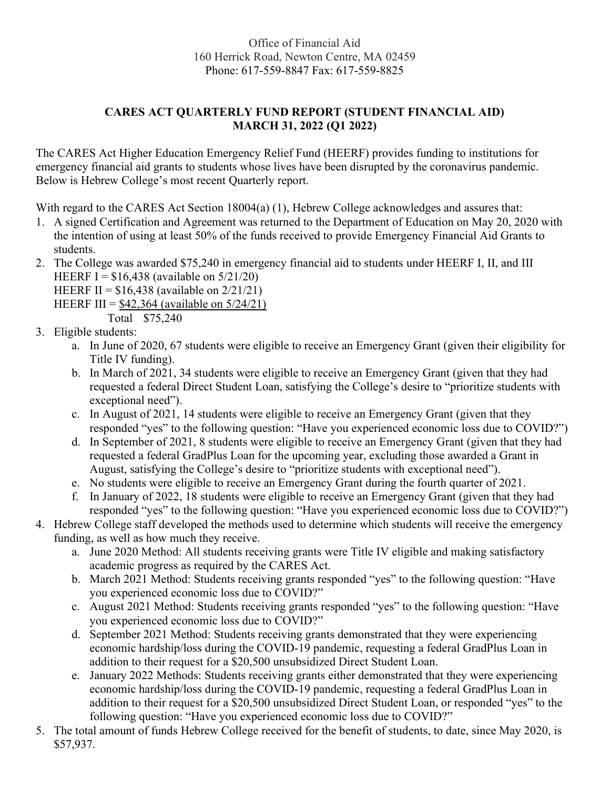## Office of Financial Aid 160 Herrick Road, Newton Centre, MA 02459 Phone: 617-559-8847 Fax: 617-559-8825

## CARES ACT QUARTERLY FUND REPORT (STUDENT FINANCIAL AID) MARCH 31, 2022 (Q1 2022)

The CARES Act Higher Education Emergency Relief Fund (HEERF) provides funding to institutions for emergency financial aid grants to students whose lives have been disrupted by the coronavirus pandemic. Below is Hebrew College's most recent Quarterly report.

With regard to the CARES Act Section 18004(a) (1), Hebrew College acknowledges and assures that:

- 1. A signed Certification and Agreement was returned to the Department of Education on May 20, 2020 with the intention of using at least 50% of the funds received to provide Emergency Financial Aid Grants to students.
- 2. The College was awarded \$75,240 in emergency financial aid to students under HEERF I, II, and III HEERF I =  $$16,438$  (available on  $5/21/20$ )
	- HEERF II =  $$16,438$  (available on  $2/21/21$ )
	- HEERF III =  $$42,364$  (available on  $5/24/21$ )
		- Total \$75,240
- 3. Eligible students:
	- a. In June of 2020, 67 students were eligible to receive an Emergency Grant (given their eligibility for Title IV funding).
	- b. In March of 2021, 34 students were eligible to receive an Emergency Grant (given that they had requested a federal Direct Student Loan, satisfying the College's desire to "prioritize students with exceptional need").
	- c. In August of 2021, 14 students were eligible to receive an Emergency Grant (given that they responded "yes" to the following question: "Have you experienced economic loss due to COVID?")
	- d. In September of 2021, 8 students were eligible to receive an Emergency Grant (given that they had requested a federal GradPlus Loan for the upcoming year, excluding those awarded a Grant in August, satisfying the College's desire to "prioritize students with exceptional need").
	- e. No students were eligible to receive an Emergency Grant during the fourth quarter of 2021.
	- f. In January of 2022, 18 students were eligible to receive an Emergency Grant (given that they had responded "yes" to the following question: "Have you experienced economic loss due to COVID?")
- 4. Hebrew College staff developed the methods used to determine which students will receive the emergency funding, as well as how much they receive.
	- a. June 2020 Method: All students receiving grants were Title IV eligible and making satisfactory academic progress as required by the CARES Act.
	- b. March 2021 Method: Students receiving grants responded "yes" to the following question: "Have you experienced economic loss due to COVID?"
	- c. August 2021 Method: Students receiving grants responded "yes" to the following question: "Have you experienced economic loss due to COVID?"
	- d. September 2021 Method: Students receiving grants demonstrated that they were experiencing economic hardship/loss during the COVID-19 pandemic, requesting a federal GradPlus Loan in addition to their request for a \$20,500 unsubsidized Direct Student Loan.
	- e. January 2022 Methods: Students receiving grants either demonstrated that they were experiencing economic hardship/loss during the COVID-19 pandemic, requesting a federal GradPlus Loan in addition to their request for a \$20,500 unsubsidized Direct Student Loan, or responded "yes" to the following question: "Have you experienced economic loss due to COVID?"
- 5. The total amount of funds Hebrew College received for the benefit of students, to date, since May 2020, is \$57,937.